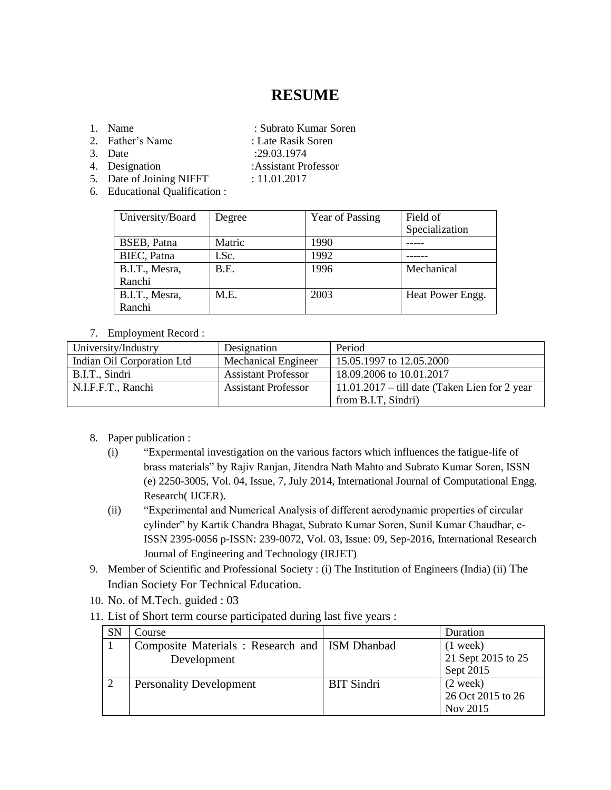## **RESUME**

- -
- 1. Name : Subrato Kumar Soren
- 2. Father's Name : Late Rasik Soren 3. Date :29.03.1974
- 
- 
- 4. Designation :Assistant Professor 5. Date of Joining NIFFT : 11.01.2017
- 6. Educational Qualification :

| University/Board | Degree | Year of Passing | Field of         |
|------------------|--------|-----------------|------------------|
|                  |        |                 | Specialization   |
| BSEB, Patna      | Matric | 1990            |                  |
| BIEC, Patna      | I.Sc.  | 1992            |                  |
| B.I.T., Mesra,   | B.E.   | 1996            | Mechanical       |
| Ranchi           |        |                 |                  |
| B.I.T., Mesra,   | M.E.   | 2003            | Heat Power Engg. |
| Ranchi           |        |                 |                  |

## 7. Employment Record :

| University/Industry        | Designation                | Period                                          |
|----------------------------|----------------------------|-------------------------------------------------|
| Indian Oil Corporation Ltd | <b>Mechanical Engineer</b> | 15.05.1997 to 12.05.2000                        |
| B.I.T., Sindri             | <b>Assistant Professor</b> | 18.09.2006 to 10.01.2017                        |
| N.I.F.F.T., Ranchi         | <b>Assistant Professor</b> | $11.01.2017 -$ till date (Taken Lien for 2 year |
|                            |                            | from B.I.T, Sindri)                             |

- 8. Paper publication :
	- (i) "Expermental investigation on the various factors which influences the fatigue-life of brass materials" by Rajiv Ranjan, Jitendra Nath Mahto and Subrato Kumar Soren, ISSN (e) 2250-3005, Vol. 04, Issue, 7, July 2014, International Journal of Computational Engg. Research( IJCER).
	- (ii) "Experimental and Numerical Analysis of different aerodynamic properties of circular cylinder" by Kartik Chandra Bhagat, Subrato Kumar Soren, Sunil Kumar Chaudhar, e-ISSN 2395-0056 p-ISSN: 239-0072, Vol. 03, Issue: 09, Sep-2016, International Research Journal of Engineering and Technology (IRJET)
- 9. Member of Scientific and Professional Society : (i) The Institution of Engineers (India) (ii) The Indian Society For Technical Education.
- 10. No. of M.Tech. guided : 03
- 11. List of Short term course participated during last five years :

| <b>SN</b> | Course                                          |                   | Duration           |
|-----------|-------------------------------------------------|-------------------|--------------------|
|           | Composite Materials: Research and   ISM Dhanbad |                   | $(1$ week)         |
|           | Development                                     |                   | 21 Sept 2015 to 25 |
|           |                                                 |                   | Sept 2015          |
|           | <b>Personality Development</b>                  | <b>BIT Sindri</b> | $(2 \text{ week})$ |
|           |                                                 |                   | 26 Oct 2015 to 26  |
|           |                                                 |                   | Nov 2015           |